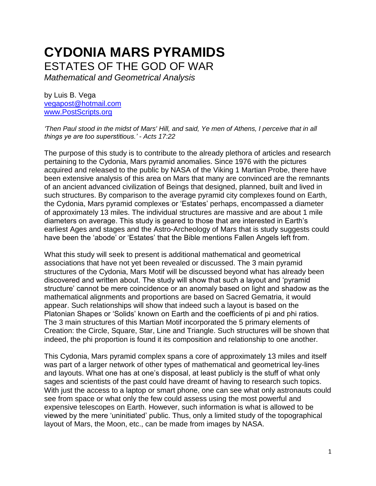# **CYDONIA MARS PYRAMIDS** ESTATES OF THE GOD OF WAR

*Mathematical and Geometrical Analysis* 

by Luis B. Vega [vegapost@hotmail.com](mailto:vegapost@hotmail.com) [www.PostScripts.org](http://www.postscripts.org/)

*'Then Paul stood in the midst of Mars' Hill, and said, Ye men of Athens, I perceive that in all things ye are too superstitious.' - Acts 17:22*

The purpose of this study is to contribute to the already plethora of articles and research pertaining to the Cydonia, Mars pyramid anomalies. Since 1976 with the pictures acquired and released to the public by NASA of the Viking 1 Martian Probe, there have been extensive analysis of this area on Mars that many are convinced are the remnants of an ancient advanced civilization of Beings that designed, planned, built and lived in such structures. By comparison to the average pyramid city complexes found on Earth, the Cydonia, Mars pyramid complexes or 'Estates' perhaps, encompassed a diameter of approximately 13 miles. The individual structures are massive and are about 1 mile diameters on average. This study is geared to those that are interested in Earth's earliest Ages and stages and the Astro-Archeology of Mars that is study suggests could have been the 'abode' or 'Estates' that the Bible mentions Fallen Angels left from.

What this study will seek to present is additional mathematical and geometrical associations that have not yet been revealed or discussed. The 3 main pyramid structures of the Cydonia, Mars Motif will be discussed beyond what has already been discovered and written about. The study will show that such a layout and 'pyramid structure' cannot be mere coincidence or an anomaly based on light and shadow as the mathematical alignments and proportions are based on Sacred Gematria, it would appear. Such relationships will show that indeed such a layout is based on the Platonian Shapes or 'Solids' known on Earth and the coefficients of pi and phi ratios. The 3 main structures of this Martian Motif incorporated the 5 primary elements of Creation: the Circle, Square, Star, Line and Triangle. Such structures will be shown that indeed, the phi proportion is found it its composition and relationship to one another.

This Cydonia, Mars pyramid complex spans a core of approximately 13 miles and itself was part of a larger network of other types of mathematical and geometrical ley-lines and layouts. What one has at one's disposal, at least publicly is the stuff of what only sages and scientists of the past could have dreamt of having to research such topics. With just the access to a laptop or smart phone, one can see what only astronauts could see from space or what only the few could assess using the most powerful and expensive telescopes on Earth. However, such information is what is allowed to be viewed by the mere 'uninitiated' public. Thus, only a limited study of the topographical layout of Mars, the Moon, etc., can be made from images by NASA.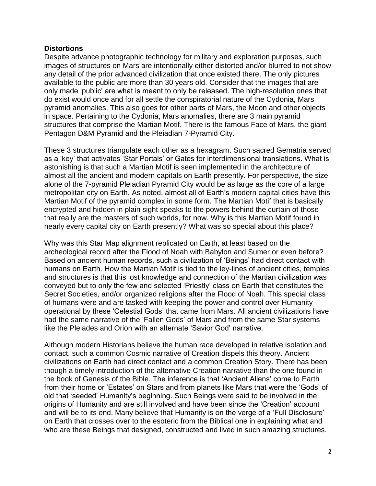## **Distortions**

Despite advance photographic technology for military and exploration purposes, such images of structures on Mars are intentionally either distorted and/or blurred to not show any detail of the prior advanced civilization that once existed there. The only pictures available to the public are more than 30 years old. Consider that the images that are only made 'public' are what is meant to only be released. The high-resolution ones that do exist would once and for all settle the conspiratorial nature of the Cydonia, Mars pyramid anomalies. This also goes for other parts of Mars, the Moon and other objects in space. Pertaining to the Cydonia, Mars anomalies, there are 3 main pyramid structures that comprise the Martian Motif. There is the famous Face of Mars, the giant Pentagon D&M Pyramid and the Pleiadian 7-Pyramid City.

These 3 structures triangulate each other as a hexagram. Such sacred Gematria served as a 'key' that activates 'Star Portals' or Gates for interdimensional translations. What is astonishing is that such a Martian Motif is seen implemented in the architecture of almost all the ancient and modern capitals on Earth presently. For perspective, the size alone of the 7-pyramid Pleiadian Pyramid City would be as large as the core of a large metropolitan city on Earth. As noted, almost all of Earth's modern capital cities have this Martian Motif of the pyramid complex in some form. The Martian Motif that is basically encrypted and hidden in plain sight speaks to the powers behind the curtain of those that really are the masters of such worlds, for now. Why is this Martian Motif found in nearly every capital city on Earth presently? What was so special about this place?

Why was this Star Map alignment replicated on Earth, at least based on the archeological record after the Flood of Noah with Babylon and Sumer or even before? Based on ancient human records, such a civilization of 'Beings' had direct contact with humans on Earth. How the Martian Motif is tied to the ley-lines of ancient cities, temples and structures is that this lost knowledge and connection of the Martian civilization was conveyed but to only the few and selected 'Priestly' class on Earth that constitutes the Secret Societies, and/or organized religions after the Flood of Noah. This special class of humans were and are tasked with keeping the power and control over Humanity operational by these 'Celestial Gods' that came from Mars. All ancient civilizations have had the same narrative of the 'Fallen Gods' of Mars and from the same Star systems like the Pleiades and Orion with an alternate 'Savior God' narrative.

Although modern Historians believe the human race developed in relative isolation and contact, such a common Cosmic narrative of Creation dispels this theory. Ancient civilizations on Earth had direct contact and a common Creation Story. There has been though a timely introduction of the alternative Creation narrative than the one found in the book of Genesis of the Bible. The inference is that 'Ancient Aliens' come to Earth from their home or 'Estates' on Stars and from planets like Mars that were the 'Gods' of old that 'seeded' Humanity's beginning. Such Beings were said to be involved in the origins of Humanity and are still involved and have been since the 'Creation' account and will be to its end. Many believe that Humanity is on the verge of a 'Full Disclosure' on Earth that crosses over to the esoteric from the Biblical one in explaining what and who are these Beings that designed, constructed and lived in such amazing structures.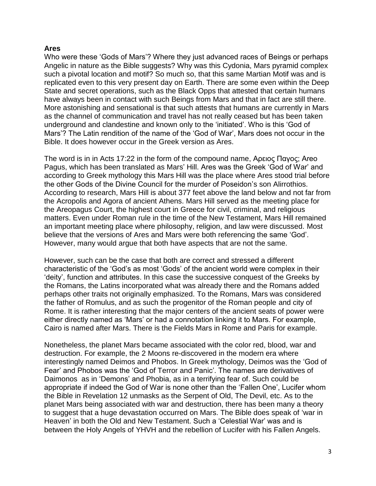## **Ares**

Who were these 'Gods of Mars'? Where they just advanced races of Beings or perhaps Angelic in nature as the Bible suggests? Why was this Cydonia, Mars pyramid complex such a pivotal location and motif? So much so, that this same Martian Motif was and is replicated even to this very present day on Earth. There are some even within the Deep State and secret operations, such as the Black Opps that attested that certain humans have always been in contact with such Beings from Mars and that in fact are still there. More astonishing and sensational is that such attests that humans are currently in Mars as the channel of communication and travel has not really ceased but has been taken underground and clandestine and known only to the 'initiated'. Who is this 'God of Mars'? The Latin rendition of the name of the 'God of War', Mars does not occur in the Bible. It does however occur in the Greek version as Ares.

The word is in in Acts 17:22 in the form of the compound name, Αρειος Παγος; Areo Pagus, which has been translated as Mars' Hill. Ares was the Greek 'God of War' and according to Greek mythology this Mars Hill was the place where Ares stood trial before the other Gods of the Divine Council for the murder of Poseidon's son Alirrothios. According to research, Mars Hill is about 377 feet above the land below and not far from the Acropolis and Agora of ancient Athens. Mars Hill served as the meeting place for the Areopagus Court, the highest court in Greece for civil, criminal, and religious matters. Even under Roman rule in the time of the New Testament, Mars Hill remained an important meeting place where philosophy, religion, and law were discussed. Most believe that the versions of Ares and Mars were both referencing the same 'God'. However, many would argue that both have aspects that are not the same.

However, such can be the case that both are correct and stressed a different characteristic of the 'God's as most 'Gods' of the ancient world were complex in their 'deity', function and attributes. In this case the successive conquest of the Greeks by the Romans, the Latins incorporated what was already there and the Romans added perhaps other traits not originally emphasized. To the Romans, Mars was considered the father of Romulus, and as such the progenitor of the Roman people and city of Rome. It is rather interesting that the major centers of the ancient seats of power were either directly named as 'Mars' or had a connotation linking it to Mars. For example, Cairo is named after Mars. There is the Fields Mars in Rome and Paris for example.

Nonetheless, the planet Mars became associated with the color red, blood, war and destruction. For example, the 2 Moons re-discovered in the modern era where interestingly named Deimos and Phobos. In Greek mythology, Deimos was the 'God of Fear' and Phobos was the 'God of Terror and Panic'. The names are derivatives of Daimonos as in 'Demons' and Phobia, as in a terrifying fear of. Such could be appropriate if indeed the God of War is none other than the 'Fallen One', Lucifer whom the Bible in Revelation 12 unmasks as the Serpent of Old, The Devil, etc. As to the planet Mars being associated with war and destruction, there has been many a theory to suggest that a huge devastation occurred on Mars. The Bible does speak of 'war in Heaven' in both the Old and New Testament. Such a 'Celestial War' was and is between the Holy Angels of YHVH and the rebellion of Lucifer with his Fallen Angels.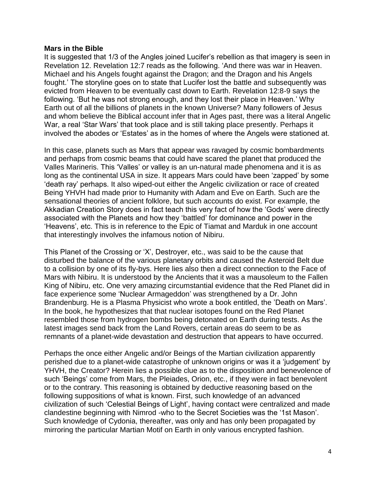#### **Mars in the Bible**

It is suggested that 1/3 of the Angles joined Lucifer's rebellion as that imagery is seen in Revelation 12. Revelation 12:7 reads as the following. 'And there was war in Heaven. Michael and his Angels fought against the Dragon; and the Dragon and his Angels fought.' The storyline goes on to state that Lucifer lost the battle and subsequently was evicted from Heaven to be eventually cast down to Earth. Revelation 12:8-9 says the following. 'But he was not strong enough, and they lost their place in Heaven.' Why Earth out of all the billions of planets in the known Universe? Many followers of Jesus and whom believe the Biblical account infer that in Ages past, there was a literal Angelic War, a real 'Star Wars' that took place and is still taking place presently. Perhaps it involved the abodes or 'Estates' as in the homes of where the Angels were stationed at.

In this case, planets such as Mars that appear was ravaged by cosmic bombardments and perhaps from cosmic beams that could have scared the planet that produced the Valles Marineris. This 'Valles' or valley is an un-natural made phenomena and it is as long as the continental USA in size. It appears Mars could have been 'zapped' by some 'death ray' perhaps. It also wiped-out either the Angelic civilization or race of created Being YHVH had made prior to Humanity with Adam and Eve on Earth. Such are the sensational theories of ancient folklore, but such accounts do exist. For example, the Akkadian Creation Story does in fact teach this very fact of how the 'Gods' were directly associated with the Planets and how they 'battled' for dominance and power in the 'Heavens', etc. This is in reference to the Epic of Tiamat and Marduk in one account that interestingly involves the infamous notion of Nibiru.

This Planet of the Crossing or 'X', Destroyer, etc., was said to be the cause that disturbed the balance of the various planetary orbits and caused the Asteroid Belt due to a collision by one of its fly-bys. Here lies also then a direct connection to the Face of Mars with Nibiru. It is understood by the Ancients that it was a mausoleum to the Fallen King of Nibiru, etc. One very amazing circumstantial evidence that the Red Planet did in face experience some 'Nuclear Armageddon' was strengthened by a Dr. John Brandenburg. He is a Plasma Physicist who wrote a book entitled, the 'Death on Mars'. In the book, he hypothesizes that that nuclear isotopes found on the Red Planet resembled those from hydrogen bombs being detonated on Earth during tests. As the latest images send back from the Land Rovers, certain areas do seem to be as remnants of a planet-wide devastation and destruction that appears to have occurred.

Perhaps the once either Angelic and/or Beings of the Martian civilization apparently perished due to a planet-wide catastrophe of unknown origins or was it a 'judgement' by YHVH, the Creator? Herein lies a possible clue as to the disposition and benevolence of such 'Beings' come from Mars, the Pleiades, Orion, etc., if they were in fact benevolent or to the contrary. This reasoning is obtained by deductive reasoning based on the following suppositions of what is known. First, such knowledge of an advanced civilization of such 'Celestial Beings of Light', having contact were centralized and made clandestine beginning with Nimrod -who to the Secret Societies was the '1st Mason'. Such knowledge of Cydonia, thereafter, was only and has only been propagated by mirroring the particular Martian Motif on Earth in only various encrypted fashion.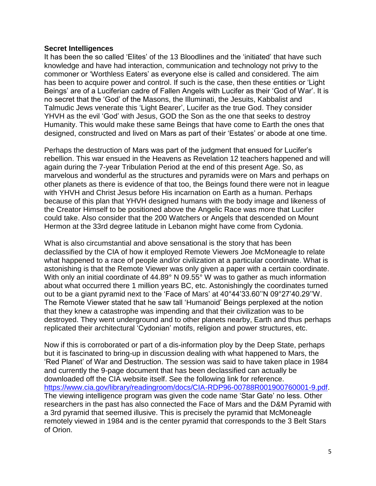#### **Secret Intelligences**

It has been the so called 'Elites' of the 13 Bloodlines and the 'initiated' that have such knowledge and have had interaction, communication and technology not privy to the commoner or 'Worthless Eaters' as everyone else is called and considered. The aim has been to acquire power and control. If such is the case, then these entities or 'Light Beings' are of a Luciferian cadre of Fallen Angels with Lucifer as their 'God of War'. It is no secret that the 'God' of the Masons, the Illuminati, the Jesuits, Kabbalist and Talmudic Jews venerate this 'Light Bearer', Lucifer as the true God. They consider YHVH as the evil 'God' with Jesus, GOD the Son as the one that seeks to destroy Humanity. This would make these same Beings that have come to Earth the ones that designed, constructed and lived on Mars as part of their 'Estates' or abode at one time.

Perhaps the destruction of Mars was part of the judgment that ensued for Lucifer's rebellion. This war ensued in the Heavens as Revelation 12 teachers happened and will again during the 7-year Tribulation Period at the end of this present Age. So, as marvelous and wonderful as the structures and pyramids were on Mars and perhaps on other planets as there is evidence of that too, the Beings found there were not in league with YHVH and Christ Jesus before His incarnation on Earth as a human. Perhaps because of this plan that YHVH designed humans with the body image and likeness of the Creator Himself to be positioned above the Angelic Race was more that Lucifer could take. Also consider that the 200 Watchers or Angels that descended on Mount Hermon at the 33rd degree latitude in Lebanon might have come from Cydonia.

What is also circumstantial and above sensational is the story that has been declassified by the CIA of how it employed Remote Viewers Joe McMoneagle to relate what happened to a race of people and/or civilization at a particular coordinate. What is astonishing is that the Remote Viewer was only given a paper with a certain coordinate. With only an initial coordinate of 44.89° N 09.55° W was to gather as much information about what occurred there 1 million years BC, etc. Astonishingly the coordinates turned out to be a giant pyramid next to the 'Face of Mars' at 40°44'33.60''N 09°27'40.29''W. The Remote Viewer stated that he saw tall 'Humanoid' Beings perplexed at the notion that they knew a catastrophe was impending and that their civilization was to be destroyed. They went underground and to other planets nearby, Earth and thus perhaps replicated their architectural 'Cydonian' motifs, religion and power structures, etc.

Now if this is corroborated or part of a dis-information ploy by the Deep State, perhaps but it is fascinated to bring-up in discussion dealing with what happened to Mars, the 'Red Planet' of War and Destruction. The session was said to have taken place in 1984 and currently the 9-page document that has been declassified can actually be downloaded off the CIA website itself. See the following link for reference. [https://www.cia.gov/library/readingroom/docs/CIA-RDP96-00788R001900760001-9.pdf.](https://www.cia.gov/library/readingroom/docs/CIA-RDP96-00788R001900760001-9.pdf) The viewing intelligence program was given the code name 'Star Gate' no less. Other researchers in the past has also connected the Face of Mars and the D&M Pyramid with a 3rd pyramid that seemed illusive. This is precisely the pyramid that McMoneagle remotely viewed in 1984 and is the center pyramid that corresponds to the 3 Belt Stars of Orion.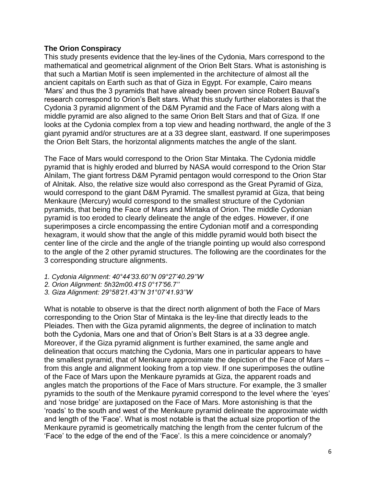## **The Orion Conspiracy**

This study presents evidence that the ley-lines of the Cydonia, Mars correspond to the mathematical and geometrical alignment of the Orion Belt Stars. What is astonishing is that such a Martian Motif is seen implemented in the architecture of almost all the ancient capitals on Earth such as that of Giza in Egypt. For example, Cairo means 'Mars' and thus the 3 pyramids that have already been proven since Robert Bauval's research correspond to Orion's Belt stars. What this study further elaborates is that the Cydonia 3 pyramid alignment of the D&M Pyramid and the Face of Mars along with a middle pyramid are also aligned to the same Orion Belt Stars and that of Giza. If one looks at the Cydonia complex from a top view and heading northward, the angle of the 3 giant pyramid and/or structures are at a 33 degree slant, eastward. If one superimposes the Orion Belt Stars, the horizontal alignments matches the angle of the slant.

The Face of Mars would correspond to the Orion Star Mintaka. The Cydonia middle pyramid that is highly eroded and blurred by NASA would correspond to the Orion Star Alnilam, The giant fortress D&M Pyramid pentagon would correspond to the Orion Star of Alnitak. Also, the relative size would also correspond as the Great Pyramid of Giza, would correspond to the giant D&M Pyramid. The smallest pyramid at Giza, that being Menkaure (Mercury) would correspond to the smallest structure of the Cydonian pyramids, that being the Face of Mars and Mintaka of Orion. The middle Cydonian pyramid is too eroded to clearly delineate the angle of the edges. However, if one superimposes a circle encompassing the entire Cydonian motif and a corresponding hexagram, it would show that the angle of this middle pyramid would both bisect the center line of the circle and the angle of the triangle pointing up would also correspond to the angle of the 2 other pyramid structures. The following are the coordinates for the 3 corresponding structure alignments.

- *1. Cydonia Alignment: 40°44'33.60''N 09°27'40.29''W*
- *2. Orion Alignment: 5h32m00.41S 0°17'56.7''*
- *3. Giza Alignment: 29°58'21.43''N 31°07'41.93''W*

What is notable to observe is that the direct north alignment of both the Face of Mars corresponding to the Orion Star of Mintaka is the ley-line that directly leads to the Pleiades. Then with the Giza pyramid alignments, the degree of inclination to match both the Cydonia, Mars one and that of Orion's Belt Stars is at a 33 degree angle. Moreover, if the Giza pyramid alignment is further examined, the same angle and delineation that occurs matching the Cydonia, Mars one in particular appears to have the smallest pyramid, that of Menkaure approximate the depiction of the Face of Mars – from this angle and alignment looking from a top view. If one superimposes the outline of the Face of Mars upon the Menkaure pyramids at Giza, the apparent roads and angles match the proportions of the Face of Mars structure. For example, the 3 smaller pyramids to the south of the Menkaure pyramid correspond to the level where the 'eyes' and 'nose bridge' are juxtaposed on the Face of Mars. More astonishing is that the 'roads' to the south and west of the Menkaure pyramid delineate the approximate width and length of the 'Face'. What is most notable is that the actual size proportion of the Menkaure pyramid is geometrically matching the length from the center fulcrum of the 'Face' to the edge of the end of the 'Face'. Is this a mere coincidence or anomaly?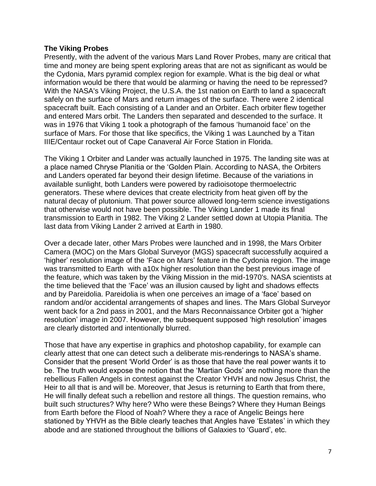## **The Viking Probes**

Presently, with the advent of the various Mars Land Rover Probes, many are critical that time and money are being spent exploring areas that are not as significant as would be the Cydonia, Mars pyramid complex region for example. What is the big deal or what information would be there that would be alarming or having the need to be repressed? With the NASA's Viking Project, the U.S.A. the 1st nation on Earth to land a spacecraft safely on the surface of Mars and return images of the surface. There were 2 identical spacecraft built. Each consisting of a Lander and an Orbiter. Each orbiter flew together and entered Mars orbit. The Landers then separated and descended to the surface. It was in 1976 that Viking 1 took a photograph of the famous 'humanoid face' on the surface of Mars. For those that like specifics, the Viking 1 was Launched by a Titan IIIE/Centaur rocket out of Cape Canaveral Air Force Station in Florida.

The Viking 1 Orbiter and Lander was actually launched in 1975. The landing site was at a place named Chryse Planitia or the 'Golden Plain. According to NASA, the Orbiters and Landers operated far beyond their design lifetime. Because of the variations in available sunlight, both Landers were powered by radioisotope thermoelectric generators. These where devices that create electricity from heat given off by the natural decay of plutonium. That power source allowed long-term science investigations that otherwise would not have been possible. The Viking Lander 1 made its final transmission to Earth in 1982. The Viking 2 Lander settled down at Utopia Planitia. The last data from Viking Lander 2 arrived at Earth in 1980.

Over a decade later, other Mars Probes were launched and in 1998, the Mars Orbiter Camera (MOC) on the Mars Global Surveyor (MGS) spacecraft successfully acquired a 'higher' resolution image of the 'Face on Mars' feature in the Cydonia region. The image was transmitted to Earth with a10x higher resolution than the best previous image of the feature, which was taken by the Viking Mission in the mid-1970's. NASA scientists at the time believed that the 'Face' was an illusion caused by light and shadows effects and by Pareidolia. Pareidolia is when one perceives an image of a 'face' based on random and/or accidental arrangements of shapes and lines. The Mars Global Surveyor went back for a 2nd pass in 2001, and the Mars Reconnaissance Orbiter got a 'higher resolution' image in 2007. However, the subsequent supposed 'high resolution' images are clearly distorted and intentionally blurred.

Those that have any expertise in graphics and photoshop capability, for example can clearly attest that one can detect such a deliberate mis-renderings to NASA's shame. Consider that the present 'World Order' is as those that have the real power wants it to be. The truth would expose the notion that the 'Martian Gods' are nothing more than the rebellious Fallen Angels in contest against the Creator YHVH and now Jesus Christ, the Heir to all that is and will be. Moreover, that Jesus is returning to Earth that from there, He will finally defeat such a rebellion and restore all things. The question remains, who built such structures? Why here? Who were these Beings? Where they Human Beings from Earth before the Flood of Noah? Where they a race of Angelic Beings here stationed by YHVH as the Bible clearly teaches that Angles have 'Estates' in which they abode and are stationed throughout the billions of Galaxies to 'Guard', etc.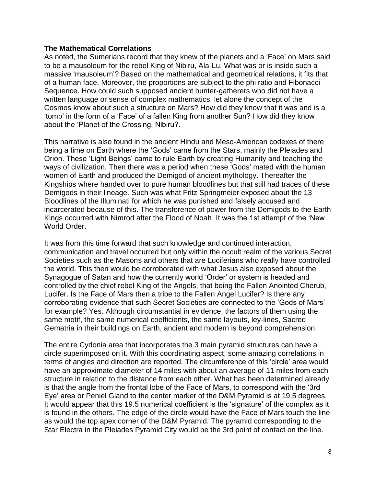### **The Mathematical Correlations**

As noted, the Sumerians record that they knew of the planets and a 'Face' on Mars said to be a mausoleum for the rebel King of Nibiru, Ala-Lu. What was or is inside such a massive 'mausoleum'? Based on the mathematical and geometrical relations, it fits that of a human face. Moreover, the proportions are subject to the phi ratio and Fibonacci Sequence. How could such supposed ancient hunter-gatherers who did not have a written language or sense of complex mathematics, let alone the concept of the Cosmos know about such a structure on Mars? How did they know that it was and is a 'tomb' in the form of a 'Face' of a fallen King from another Sun? How did they know about the 'Planet of the Crossing, Nibiru?.

This narrative is also found in the ancient Hindu and Meso-American codexes of there being a time on Earth where the 'Gods' came from the Stars, mainly the Pleiades and Orion. These 'Light Beings' came to rule Earth by creating Humanity and teaching the ways of civilization. Then there was a period when these 'Gods' mated with the human women of Earth and produced the Demigod of ancient mythology. Thereafter the Kingships where handed over to pure human bloodlines but that still had traces of these Demigods in their lineage. Such was what Fritz Springmeier exposed about the 13 Bloodlines of the Illuminati for which he was punished and falsely accused and incarcerated because of this. The transference of power from the Demigods to the Earth Kings occurred with Nimrod after the Flood of Noah. It was the 1st attempt of the 'New World Order.

It was from this time forward that such knowledge and continued interaction, communication and travel occurred but only within the occult realm of the various Secret Societies such as the Masons and others that are Luciferians who really have controlled the world. This then would be corroborated with what Jesus also exposed about the Synagogue of Satan and how the currently world 'Order' or system is headed and controlled by the chief rebel King of the Angels, that being the Fallen Anointed Cherub, Lucifer. Is the Face of Mars then a tribe to the Fallen Angel Lucifer? Is there any corroborating evidence that such Secret Societies are connected to the 'Gods of Mars' for example? Yes. Although circumstantial in evidence, the factors of them using the same motif, the same numerical coefficients, the same layouts, ley-lines, Sacred Gematria in their buildings on Earth, ancient and modern is beyond comprehension.

The entire Cydonia area that incorporates the 3 main pyramid structures can have a circle superimposed on it. With this coordinating aspect, some amazing correlations in terms of angles and direction are reported. The circumference of this 'circle' area would have an approximate diameter of 14 miles with about an average of 11 miles from each structure in relation to the distance from each other. What has been determined already is that the angle from the frontal lobe of the Face of Mars, to correspond with the '3rd Eye' area or Peniel Gland to the center marker of the D&M Pyramid is at 19.5 degrees. It would appear that this 19.5 numerical coefficient is the 'signature' of the complex as it is found in the others. The edge of the circle would have the Face of Mars touch the line as would the top apex corner of the D&M Pyramid. The pyramid corresponding to the Star Electra in the Pleiades Pyramid City would be the 3rd point of contact on the line.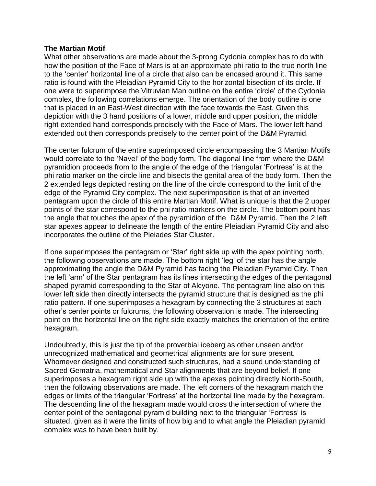## **The Martian Motif**

What other observations are made about the 3-prong Cydonia complex has to do with how the position of the Face of Mars is at an approximate phi ratio to the true north line to the 'center' horizontal line of a circle that also can be encased around it. This same ratio is found with the Pleiadian Pyramid City to the horizontal bisection of its circle. If one were to superimpose the Vitruvian Man outline on the entire 'circle' of the Cydonia complex, the following correlations emerge. The orientation of the body outline is one that is placed in an East-West direction with the face towards the East. Given this depiction with the 3 hand positions of a lower, middle and upper position, the middle right extended hand corresponds precisely with the Face of Mars. The lower left hand extended out then corresponds precisely to the center point of the D&M Pyramid.

The center fulcrum of the entire superimposed circle encompassing the 3 Martian Motifs would correlate to the 'Navel' of the body form. The diagonal line from where the D&M pyramidion proceeds from to the angle of the edge of the triangular 'Fortress' is at the phi ratio marker on the circle line and bisects the genital area of the body form. Then the 2 extended legs depicted resting on the line of the circle correspond to the limit of the edge of the Pyramid City complex. The next superimposition is that of an inverted pentagram upon the circle of this entire Martian Motif. What is unique is that the 2 upper points of the star correspond to the phi ratio markers on the circle. The bottom point has the angle that touches the apex of the pyramidion of the D&M Pyramid. Then the 2 left star apexes appear to delineate the length of the entire Pleiadian Pyramid City and also incorporates the outline of the Pleiades Star Cluster.

If one superimposes the pentagram or 'Star' right side up with the apex pointing north, the following observations are made. The bottom right 'leg' of the star has the angle approximating the angle the D&M Pyramid has facing the Pleiadian Pyramid City. Then the left 'arm' of the Star pentagram has its lines intersecting the edges of the pentagonal shaped pyramid corresponding to the Star of Alcyone. The pentagram line also on this lower left side then directly intersects the pyramid structure that is designed as the phi ratio pattern. If one superimposes a hexagram by connecting the 3 structures at each other's center points or fulcrums, the following observation is made. The intersecting point on the horizontal line on the right side exactly matches the orientation of the entire hexagram.

Undoubtedly, this is just the tip of the proverbial iceberg as other unseen and/or unrecognized mathematical and geometrical alignments are for sure present. Whomever designed and constructed such structures, had a sound understanding of Sacred Gematria, mathematical and Star alignments that are beyond belief. If one superimposes a hexagram right side up with the apexes pointing directly North-South, then the following observations are made. The left corners of the hexagram match the edges or limits of the triangular 'Fortress' at the horizontal line made by the hexagram. The descending line of the hexagram made would cross the intersection of where the center point of the pentagonal pyramid building next to the triangular 'Fortress' is situated, given as it were the limits of how big and to what angle the Pleiadian pyramid complex was to have been built by.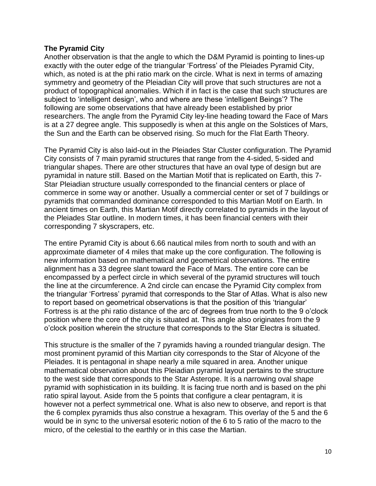## **The Pyramid City**

Another observation is that the angle to which the D&M Pyramid is pointing to lines-up exactly with the outer edge of the triangular 'Fortress' of the Pleiades Pyramid City, which, as noted is at the phi ratio mark on the circle. What is next in terms of amazing symmetry and geometry of the Pleiadian City will prove that such structures are not a product of topographical anomalies. Which if in fact is the case that such structures are subject to 'intelligent design', who and where are these 'intelligent Beings'? The following are some observations that have already been established by prior researchers. The angle from the Pyramid City ley-line heading toward the Face of Mars is at a 27 degree angle. This supposedly is when at this angle on the Solstices of Mars, the Sun and the Earth can be observed rising. So much for the Flat Earth Theory.

The Pyramid City is also laid-out in the Pleiades Star Cluster configuration. The Pyramid City consists of 7 main pyramid structures that range from the 4-sided, 5-sided and triangular shapes. There are other structures that have an oval type of design but are pyramidal in nature still. Based on the Martian Motif that is replicated on Earth, this 7- Star Pleiadian structure usually corresponded to the financial centers or place of commerce in some way or another. Usually a commercial center or set of 7 buildings or pyramids that commanded dominance corresponded to this Martian Motif on Earth. In ancient times on Earth, this Martian Motif directly correlated to pyramids in the layout of the Pleiades Star outline. In modern times, it has been financial centers with their corresponding 7 skyscrapers, etc.

The entire Pyramid City is about 6.66 nautical miles from north to south and with an approximate diameter of 4 miles that make up the core configuration. The following is new information based on mathematical and geometrical observations. The entire alignment has a 33 degree slant toward the Face of Mars. The entire core can be encompassed by a perfect circle in which several of the pyramid structures will touch the line at the circumference. A 2nd circle can encase the Pyramid City complex from the triangular 'Fortress' pyramid that corresponds to the Star of Atlas. What is also new to report based on geometrical observations is that the position of this 'triangular' Fortress is at the phi ratio distance of the arc of degrees from true north to the 9 o'clock position where the core of the city is situated at. This angle also originates from the 9 o'clock position wherein the structure that corresponds to the Star Electra is situated.

This structure is the smaller of the 7 pyramids having a rounded triangular design. The most prominent pyramid of this Martian city corresponds to the Star of Alcyone of the Pleiades. It is pentagonal in shape nearly a mile squared in area. Another unique mathematical observation about this Pleiadian pyramid layout pertains to the structure to the west side that corresponds to the Star Asterope. It is a narrowing oval shape pyramid with sophistication in its building. It is facing true north and is based on the phi ratio spiral layout. Aside from the 5 points that configure a clear pentagram, it is however not a perfect symmetrical one. What is also new to observe, and report is that the 6 complex pyramids thus also construe a hexagram. This overlay of the 5 and the 6 would be in sync to the universal esoteric notion of the 6 to 5 ratio of the macro to the micro, of the celestial to the earthly or in this case the Martian.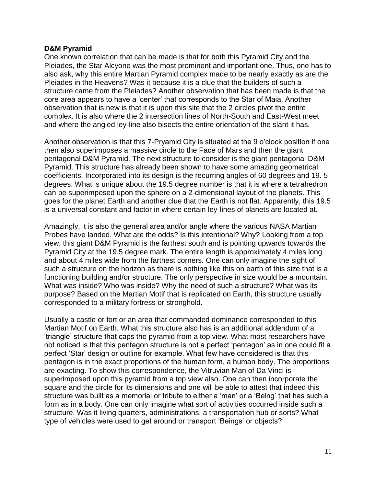### **D&M Pyramid**

One known correlation that can be made is that for both this Pyramid City and the Pleiades, the Star Alcyone was the most prominent and important one. Thus, one has to also ask, why this entire Martian Pyramid complex made to be nearly exactly as are the Pleiades in the Heavens? Was it because it is a clue that the builders of such a structure came from the Pleiades? Another observation that has been made is that the core area appears to have a 'center' that corresponds to the Star of Maia. Another observation that is new is that it is upon this site that the 2 circles pivot the entire complex. It is also where the 2 intersection lines of North-South and East-West meet and where the angled ley-line also bisects the entire orientation of the slant it has.

Another observation is that this 7-Pryamid City is situated at the 9 o'clock position if one then also superimposes a massive circle to the Face of Mars and then the giant pentagonal D&M Pyramid. The next structure to consider is the giant pentagonal D&M Pyramid. This structure has already been shown to have some amazing geometrical coefficients. Incorporated into its design is the recurring angles of 60 degrees and 19. 5 degrees. What is unique about the 19.5 degree number is that it is where a tetrahedron can be superimposed upon the sphere on a 2-dimensional layout of the planets. This goes for the planet Earth and another clue that the Earth is not flat. Apparently, this 19.5 is a universal constant and factor in where certain ley-lines of planets are located at.

Amazingly, it is also the general area and/or angle where the various NASA Martian Probes have landed. What are the odds? Is this intentional? Why? Looking from a top view, this giant D&M Pyramid is the farthest south and is pointing upwards towards the Pyramid City at the 19.5 degree mark. The entire length is approximately 4 miles long and about 4 miles wide from the farthest corners. One can only imagine the sight of such a structure on the horizon as there is nothing like this on earth of this size that is a functioning building and/or structure. The only perspective in size would be a mountain. What was inside? Who was inside? Why the need of such a structure? What was its purpose? Based on the Martian Motif that is replicated on Earth, this structure usually corresponded to a military fortress or stronghold.

Usually a castle or fort or an area that commanded dominance corresponded to this Martian Motif on Earth. What this structure also has is an additional addendum of a 'triangle' structure that caps the pyramid from a top view. What most researchers have not noticed is that this pentagon structure is not a perfect 'pentagon' as in one could fit a perfect 'Star' design or outline for example. What few have considered is that this pentagon is in the exact proportions of the human form, a human body. The proportions are exacting. To show this correspondence, the Vitruvian Man of Da Vinci is superimposed upon this pyramid from a top view also. One can then incorporate the square and the circle for its dimensions and one will be able to attest that indeed this structure was built as a memorial or tribute to either a 'man' or a 'Being' that has such a form as in a body. One can only imagine what sort of activities occurred inside such a structure. Was it living quarters, administrations, a transportation hub or sorts? What type of vehicles were used to get around or transport 'Beings' or objects?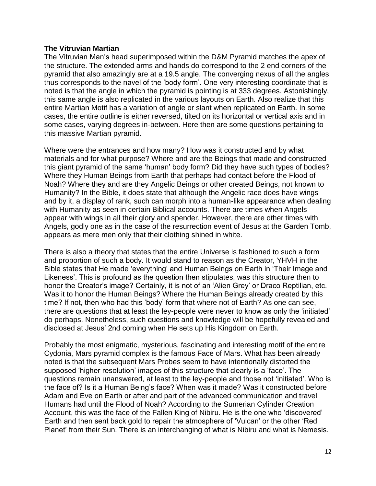## **The Vitruvian Martian**

The Vitruvian Man's head superimposed within the D&M Pyramid matches the apex of the structure. The extended arms and hands do correspond to the 2 end corners of the pyramid that also amazingly are at a 19.5 angle. The converging nexus of all the angles thus corresponds to the navel of the 'body form'. One very interesting coordinate that is noted is that the angle in which the pyramid is pointing is at 333 degrees. Astonishingly, this same angle is also replicated in the various layouts on Earth. Also realize that this entire Martian Motif has a variation of angle or slant when replicated on Earth. In some cases, the entire outline is either reversed, tilted on its horizontal or vertical axis and in some cases, varying degrees in-between. Here then are some questions pertaining to this massive Martian pyramid.

Where were the entrances and how many? How was it constructed and by what materials and for what purpose? Where and are the Beings that made and constructed this giant pyramid of the same 'human' body form? Did they have such types of bodies? Where they Human Beings from Earth that perhaps had contact before the Flood of Noah? Where they and are they Angelic Beings or other created Beings, not known to Humanity? In the Bible, it does state that although the Angelic race does have wings and by it, a display of rank, such can morph into a human-like appearance when dealing with Humanity as seen in certain Biblical accounts. There are times when Angels appear with wings in all their glory and spender. However, there are other times with Angels, godly one as in the case of the resurrection event of Jesus at the Garden Tomb, appears as mere men only that their clothing shined in white.

There is also a theory that states that the entire Universe is fashioned to such a form and proportion of such a body. It would stand to reason as the Creator, YHVH in the Bible states that He made 'everything' and Human Beings on Earth in 'Their Image and Likeness'. This is profound as the question then stipulates, was this structure then to honor the Creator's image? Certainly, it is not of an 'Alien Grey' or Draco Reptilian, etc. Was it to honor the Human Beings? Where the Human Beings already created by this time? If not, then who had this 'body' form that where not of Earth? As one can see, there are questions that at least the ley-people were never to know as only the 'initiated' do perhaps. Nonetheless, such questions and knowledge will be hopefully revealed and disclosed at Jesus' 2nd coming when He sets up His Kingdom on Earth.

Probably the most enigmatic, mysterious, fascinating and interesting motif of the entire Cydonia, Mars pyramid complex is the famous Face of Mars. What has been already noted is that the subsequent Mars Probes seem to have intentionally distorted the supposed 'higher resolution' images of this structure that clearly is a 'face'. The questions remain unanswered, at least to the ley-people and those not 'initiated'. Who is the face of? Is it a Human Being's face? When was it made? Was it constructed before Adam and Eve on Earth or after and part of the advanced communication and travel Humans had until the Flood of Noah? According to the Sumerian Cylinder Creation Account, this was the face of the Fallen King of Nibiru. He is the one who 'discovered' Earth and then sent back gold to repair the atmosphere of 'Vulcan' or the other 'Red Planet' from their Sun. There is an interchanging of what is Nibiru and what is Nemesis.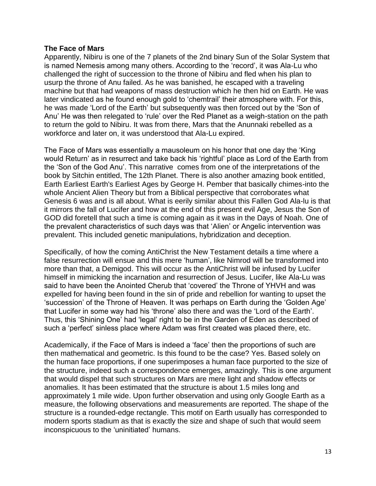## **The Face of Mars**

Apparently, Nibiru is one of the 7 planets of the 2nd binary Sun of the Solar System that is named Nemesis among many others. According to the 'record', it was Ala-Lu who challenged the right of succession to the throne of Nibiru and fled when his plan to usurp the throne of Anu failed. As he was banished, he escaped with a traveling machine but that had weapons of mass destruction which he then hid on Earth. He was later vindicated as he found enough gold to 'chemtrail' their atmosphere with. For this, he was made 'Lord of the Earth' but subsequently was then forced out by the 'Son of Anu' He was then relegated to 'rule' over the Red Planet as a weigh-station on the path to return the gold to Nibiru. It was from there, Mars that the Anunnaki rebelled as a workforce and later on, it was understood that Ala-Lu expired.

The Face of Mars was essentially a mausoleum on his honor that one day the 'King would Return' as in resurrect and take back his 'rightful' place as Lord of the Earth from the 'Son of the God Anu'. This narrative comes from one of the interpretations of the book by Sitchin entitled, The 12th Planet. There is also another amazing book entitled, Earth Earliest Earth's Earliest Ages by George H. Pember that basically chimes-into the whole Ancient Alien Theory but from a Biblical perspective that corroborates what Genesis 6 was and is all about. What is eerily similar about this Fallen God Ala-lu is that it mirrors the fall of Lucifer and how at the end of this present evil Age, Jesus the Son of GOD did foretell that such a time is coming again as it was in the Days of Noah. One of the prevalent characteristics of such days was that 'Alien' or Angelic intervention was prevalent. This included genetic manipulations, hybridization and deception.

Specifically, of how the coming AntiChrist the New Testament details a time where a false resurrection will ensue and this mere 'human', like Nimrod will be transformed into more than that, a Demigod. This will occur as the AntiChrist will be infused by Lucifer himself in mimicking the incarnation and resurrection of Jesus. Lucifer, like Ala-Lu was said to have been the Anointed Cherub that 'covered' the Throne of YHVH and was expelled for having been found in the sin of pride and rebellion for wanting to upset the 'succession' of the Throne of Heaven. It was perhaps on Earth during the 'Golden Age' that Lucifer in some way had his 'throne' also there and was the 'Lord of the Earth'. Thus, this 'Shining One' had 'legal' right to be in the Garden of Eden as described of such a 'perfect' sinless place where Adam was first created was placed there, etc.

Academically, if the Face of Mars is indeed a 'face' then the proportions of such are then mathematical and geometric. Is this found to be the case? Yes. Based solely on the human face proportions, if one superimposes a human face purported to the size of the structure, indeed such a correspondence emerges, amazingly. This is one argument that would dispel that such structures on Mars are mere light and shadow effects or anomalies. It has been estimated that the structure is about 1.5 miles long and approximately 1 mile wide. Upon further observation and using only Google Earth as a measure, the following observations and measurements are reported. The shape of the structure is a rounded-edge rectangle. This motif on Earth usually has corresponded to modern sports stadium as that is exactly the size and shape of such that would seem inconspicuous to the 'uninitiated' humans.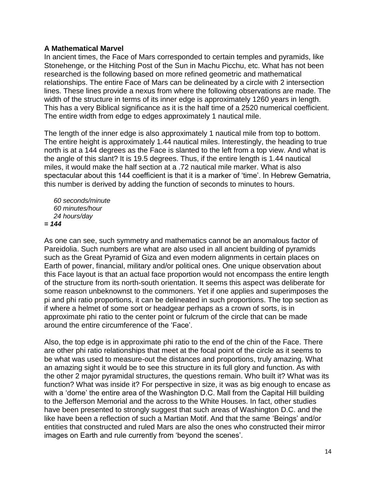## **A Mathematical Marvel**

In ancient times, the Face of Mars corresponded to certain temples and pyramids, like Stonehenge, or the Hitching Post of the Sun in Machu Picchu, etc. What has not been researched is the following based on more refined geometric and mathematical relationships. The entire Face of Mars can be delineated by a circle with 2 intersection lines. These lines provide a nexus from where the following observations are made. The width of the structure in terms of its inner edge is approximately 1260 years in length. This has a very Biblical significance as it is the half time of a 2520 numerical coefficient. The entire width from edge to edges approximately 1 nautical mile.

The length of the inner edge is also approximately 1 nautical mile from top to bottom. The entire height is approximately 1.44 nautical miles. Interestingly, the heading to true north is at a 144 degrees as the Face is slanted to the left from a top view. And what is the angle of this slant? It is 19.5 degrees. Thus, if the entire length is 1.44 nautical miles, it would make the half section at a .72 nautical mile marker. What is also spectacular about this 144 coefficient is that it is a marker of 'time'. In Hebrew Gematria, this number is derived by adding the function of seconds to minutes to hours.

 *60 seconds/minute 60 minutes/hour 24 hours/day = 144*

As one can see, such symmetry and mathematics cannot be an anomalous factor of Pareidolia. Such numbers are what are also used in all ancient building of pyramids such as the Great Pyramid of Giza and even modern alignments in certain places on Earth of power, financial, military and/or political ones. One unique observation about this Face layout is that an actual face proportion would not encompass the entire length of the structure from its north-south orientation. It seems this aspect was deliberate for some reason unbeknownst to the commoners. Yet if one applies and superimposes the pi and phi ratio proportions, it can be delineated in such proportions. The top section as if where a helmet of some sort or headgear perhaps as a crown of sorts, is in approximate phi ratio to the center point or fulcrum of the circle that can be made around the entire circumference of the 'Face'.

Also, the top edge is in approximate phi ratio to the end of the chin of the Face. There are other phi ratio relationships that meet at the focal point of the circle as it seems to be what was used to measure-out the distances and proportions, truly amazing. What an amazing sight it would be to see this structure in its full glory and function. As with the other 2 major pyramidal structures, the questions remain. Who built it? What was its function? What was inside it? For perspective in size, it was as big enough to encase as with a 'dome' the entire area of the Washington D.C. Mall from the Capital Hill building to the Jefferson Memorial and the across to the White Houses. In fact, other studies have been presented to strongly suggest that such areas of Washington D.C. and the like have been a reflection of such a Martian Motif. And that the same 'Beings' and/or entities that constructed and ruled Mars are also the ones who constructed their mirror images on Earth and rule currently from 'beyond the scenes'.